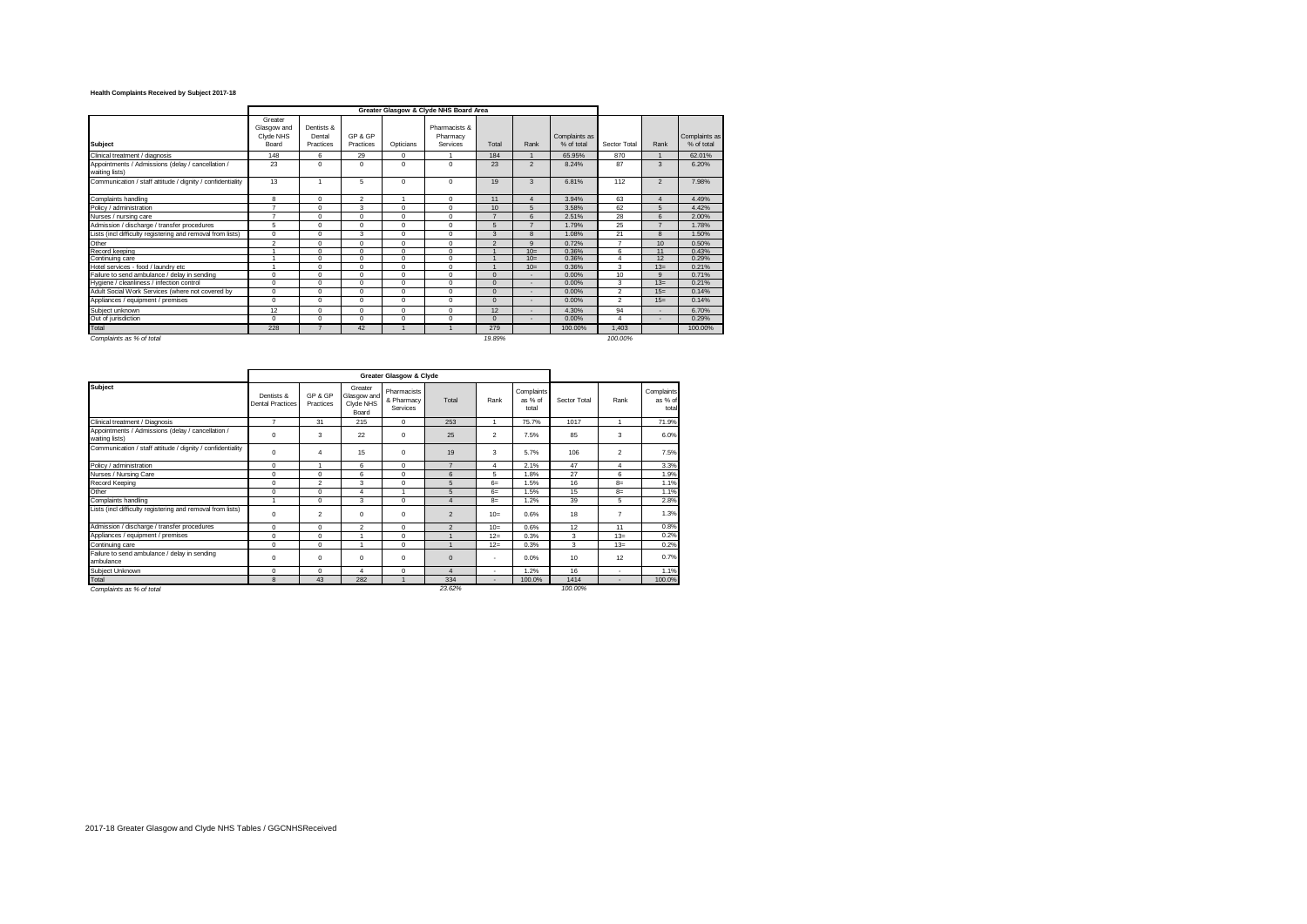## **Health Complaints Received by Subject 2017-18**

|                                                                     |                                              |                                   |                      |                | Greater Glasgow & Clyde NHS Board Area |                          |                          |                             |                |                  |                             |
|---------------------------------------------------------------------|----------------------------------------------|-----------------------------------|----------------------|----------------|----------------------------------------|--------------------------|--------------------------|-----------------------------|----------------|------------------|-----------------------------|
| <b>Subject</b>                                                      | Greater<br>Glasgow and<br>Civde NHS<br>Board | Dentists &<br>Dental<br>Practices | GP & GP<br>Practices | Opticians      | Pharmacists &<br>Pharmacy<br>Services  | Total                    | Rank                     | Complaints as<br>% of total | Sector Total   | Rank             | Complaints as<br>% of total |
| Clinical treatment / diagnosis                                      | 148                                          | 6                                 | 29                   | 0              |                                        | 184                      |                          | 65.95%                      | 870            |                  | 62.01%                      |
| Appointments / Admissions (delay / cancellation /<br>waiting lists) | 23                                           | 0                                 | $\Omega$             | $\Omega$       | $\Omega$                               | 23                       | $\overline{2}$           | 8.24%                       | 87             | $\mathbf{3}$     | 6.20%                       |
| Communication / staff attitude / dignity / confidentiality          | 13                                           |                                   | 5                    | 0              | $\Omega$                               | 19                       | 3                        | 6.81%                       | 112            | $\overline{2}$   | 7.98%                       |
| Complaints handling                                                 | 8                                            | $\Omega$                          | $\overline{2}$       | $\overline{1}$ | $\Omega$                               | 11                       | $\overline{4}$           | 3.94%                       | 63             | $\overline{4}$   | 4.49%                       |
| Policy / administration                                             | $\overline{ }$                               | $\Omega$                          | 3                    | $\Omega$       | $\Omega$                               | 10                       | 5                        | 3.58%                       | 62             | 5                | 4.42%                       |
| Nurses / nursing care                                               | $\overline{ }$                               | $\Omega$                          | $\mathbf 0$          | $\Omega$       | $\Omega$                               | $\overline{\phantom{a}}$ | 6                        | 2.51%                       | 28             | 6                | 2.00%                       |
| Admission / discharge / transfer procedures                         | 5                                            | $\Omega$                          | $\Omega$             | $\Omega$       | $\Omega$                               | 5                        | $\overline{7}$           | 1.79%                       | 25             | $\overline{ }$   | 1.78%                       |
| Lists (incl difficulty registering and removal from lists)          | $\Omega$                                     | $\Omega$                          | 3                    | $\Omega$       | $\Omega$                               | 3                        | 8                        | 1.08%                       | 21             | $\mathbf{a}$     | 1.50%                       |
| Other                                                               | $\mathfrak{p}$                               | $\Omega$                          | $\Omega$             | $\Omega$       | $\Omega$                               | $\mathfrak{D}$           | $\mathbf{Q}$             | 0.72%                       | $\overline{7}$ | 10               | 0.50%                       |
| Record keeping                                                      |                                              | $\sqrt{2}$                        | $\Omega$             | $\Omega$       | $\Omega$                               |                          | $10 -$                   | 0.36%                       | $\epsilon$     | 11               | 0.43%                       |
| Continuing care                                                     |                                              | $\Omega$                          | $\Omega$             | $\Omega$       | $\Omega$                               |                          | $10=$                    | 0.36%                       | $\overline{4}$ | 12               | 0.29%                       |
| Hotel services - food / laundry etc                                 |                                              | $\Omega$                          | $\Omega$             | $\Omega$       | $\Omega$                               |                          | $10=$                    | 0.36%                       | 3              | $13=$            | 0.21%                       |
| Failure to send ambulance / delay in sending                        | $\Omega$                                     | $\Omega$                          | $\Omega$             | $\Omega$       | $\Omega$                               | $\Omega$                 |                          | 0.00%                       | 10             | $\mathbf{Q}$     | 0.71%                       |
| Hygiene / cleanliness / infection control                           | $\mathbf 0$                                  | $\Omega$                          | $\mathbf 0$          | $\Omega$       | $\Omega$                               | $\Omega$                 |                          | 0.00%                       | 3              | $13=$            | 0.21%                       |
| Adult Social Work Services (where not covered by                    | $\Omega$                                     | $\Omega$                          | $\Omega$             | $\Omega$       | $\Omega$                               | $\Omega$                 |                          | 0.00%                       | $\mathcal{P}$  | 15 <sub>ii</sub> | 0.14%                       |
| Appliances / equipment / premises                                   | $\Omega$                                     | $\Omega$                          | $\Omega$             | $\Omega$       | $\Omega$                               | $\Omega$                 | $\blacksquare$           | 0.00%                       | $\mathfrak{p}$ | $15=$            | 0.14%                       |
| Subiect unknown                                                     | 12                                           | $\Omega$                          | $\Omega$             | $\Omega$       | $\Omega$                               | 12                       |                          | 4.30%                       | 94             | ٠                | 6.70%                       |
| Out of jurisdiction                                                 | $\Omega$                                     | $\Omega$                          | $\Omega$             | $\Omega$       | $\Omega$                               | $\Omega$                 | $\overline{\phantom{a}}$ | 0.00%                       | $\overline{4}$ | ٠                | 0.29%                       |
| Total                                                               | 228                                          |                                   | 42                   |                |                                        | 279                      |                          | 100.00%                     | 1.403          |                  | 100.00%                     |
| Complaints as % of total                                            |                                              |                                   |                      |                |                                        | 19.89%                   |                          |                             | 100.00%        |                  |                             |

|                                                                     |                                       |                      |                                              | Greater Glasgow & Clyde               |                |                       |                                |              |                |                                |
|---------------------------------------------------------------------|---------------------------------------|----------------------|----------------------------------------------|---------------------------------------|----------------|-----------------------|--------------------------------|--------------|----------------|--------------------------------|
| <b>Subject</b>                                                      | Dentists &<br><b>Dental Practices</b> | GP & GP<br>Practices | Greater<br>Glasgow and<br>Clyde NHS<br>Board | Pharmacists<br>& Pharmacy<br>Services | Total          | Rank                  | Complaints<br>as % of<br>total | Sector Total | Rank           | Complaints<br>as % of<br>total |
| Clinical treatment / Diagnosis                                      | $\overline{ }$                        | 31                   | 215                                          | $\Omega$                              | 253            |                       | 75.7%                          | 1017         |                | 71.9%                          |
| Appointments / Admissions (delay / cancellation /<br>waiting lists) | $\mathbf 0$                           | 3                    | 22                                           | $\mathbf 0$                           | 25             | $\overline{2}$        | 7.5%                           | 85           | 3              | 6.0%                           |
| Communication / staff attitude / dignity / confidentiality          | $\mathbf 0$                           | 4                    | 15                                           | $\mathbf 0$                           | 19             | 3                     | 5.7%                           | 106          | $\overline{2}$ | 7.5%                           |
| Policy / administration                                             | $\Omega$                              | ٠                    | 6                                            | $^{\circ}$                            | $\overline{z}$ | 4                     | 2.1%                           | 47           | 4              | 3.3%                           |
| Nurses / Nursing Care                                               | $\mathbf 0$                           | 0                    | 6                                            | 0                                     | 6              | 5                     | 1.8%                           | 27           | 6              | 1.9%                           |
| Record Keeping                                                      | $\mathbf 0$                           | $\overline{2}$       | 3                                            | $\mathbf 0$                           | 5              | $6=$                  | 1.5%                           | 16           | $8=$           | 1.1%                           |
| Other                                                               | $\mathbf 0$                           | $\Omega$             | $\overline{4}$                               |                                       | 5              | $6=$                  | 1.5%                           | 15           | $8=$           | 1.1%                           |
| Complaints handling                                                 | ٠                                     | $\Omega$             | 3                                            | $\mathbf 0$                           | $\overline{4}$ | $8=$                  | 1.2%                           | 39           | 5              | 2.8%                           |
| Lists (incl difficulty registering and removal from lists)          | $\mathbf 0$                           | $\overline{2}$       | $\mathbf 0$                                  | $\mathbf 0$                           | $\overline{2}$ | $10=$                 | 0.6%                           | 18           | $\overline{7}$ | 1.3%                           |
| Admission / discharge / transfer procedures                         | $\mathbf 0$                           | $\Omega$             | $\overline{2}$                               | $\Omega$                              | $\overline{2}$ | $10=$                 | 0.6%                           | 12           | 11             | 0.8%                           |
| Appliances / equipment / premises                                   | $\mathbf 0$                           | 0                    |                                              | $\mathbf 0$                           |                | $12=$                 | 0.3%                           | 3            | $13=$          | 0.2%                           |
| Continuing care                                                     | $\Omega$                              | 0                    |                                              | $\mathbf 0$                           |                | $12=$                 | 0.3%                           | 3            | $13=$          | 0.2%                           |
| Failure to send ambulance / delay in sending<br>ambulance           | $\mathbf 0$                           | 0                    | $\mathbf 0$                                  | $\mathbf 0$                           | $\mathbf 0$    | $\tilde{\phantom{a}}$ | 0.0%                           | 10           | 12             | 0.7%                           |
| Subject Unknown                                                     | $\Omega$                              | $\Omega$             | 4                                            | $\mathbf 0$                           | $\overline{4}$ | $\tilde{\phantom{a}}$ | 1.2%                           | 16           | $\blacksquare$ | 1.1%                           |
| Total                                                               | 8                                     | 43                   | 282                                          |                                       | 334            |                       | 100.0%                         | 1414         |                | 100.0%                         |
| Complaints as % of total                                            |                                       |                      |                                              |                                       | 23.62%         |                       |                                | 100.00%      |                |                                |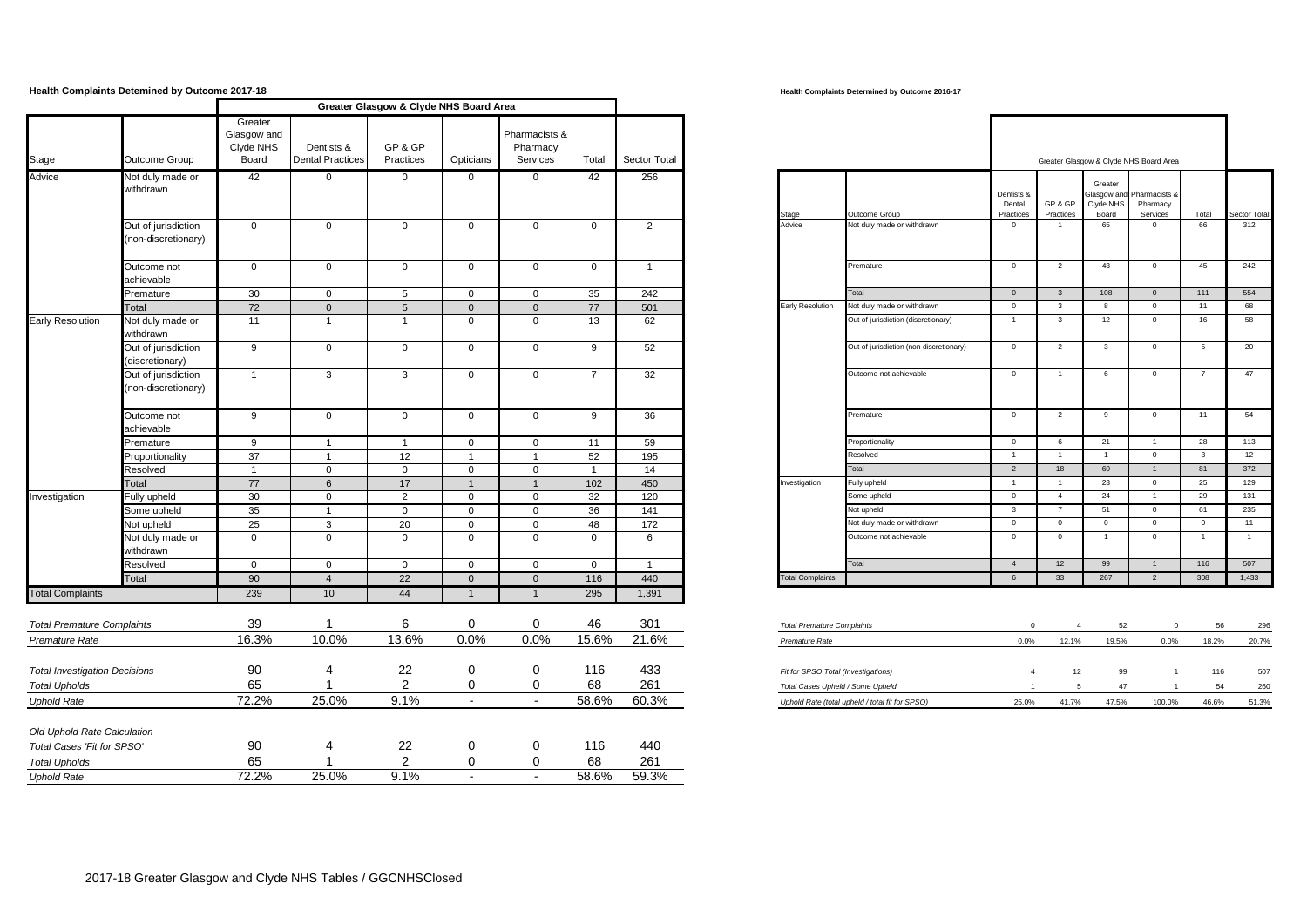## **Health Complaints Determined by Outcome 2017-18 Although Complaints Determined by Outcome 2016-17 Health Complaints Determined by Outcome 2016-17**

|                                                              |                                           |                                              |                                       | Greater Glasgow & Clyde NHS Board Area |                             |                                       |                |                         |                                     |                                                 |                                   |                         |                                        |                                                   |                |                |
|--------------------------------------------------------------|-------------------------------------------|----------------------------------------------|---------------------------------------|----------------------------------------|-----------------------------|---------------------------------------|----------------|-------------------------|-------------------------------------|-------------------------------------------------|-----------------------------------|-------------------------|----------------------------------------|---------------------------------------------------|----------------|----------------|
| Stage                                                        | Outcome Group                             | Greater<br>Glasgow and<br>Clyde NHS<br>Board | Dentists &<br><b>Dental Practices</b> | GP & GP<br>Practices                   | Opticians                   | Pharmacists &<br>Pharmacy<br>Services | Total          | Sector Total            |                                     |                                                 |                                   |                         | Greater Glasgow & Clyde NHS Board Area |                                                   |                |                |
| Advice                                                       | Not duly made or<br>withdrawn             | 42                                           | $\mathbf 0$                           | $\overline{0}$                         | $\mathbf 0$                 | $\mathbf{0}$                          | 42             | 256                     | Stage                               | Outcome Group                                   | Dentists &<br>Dental<br>Practices | GP & GP<br>Practices    | Greater<br>Clyde NHS<br>Board          | Glasgow and Pharmacists &<br>Pharmacy<br>Services | Total          | Sector Total   |
|                                                              | Out of jurisdiction<br>non-discretionary) | $\mathbf 0$                                  | $\mathbf 0$                           | $\mathsf{O}$                           | $\mathbf 0$                 | $\mathbf 0$                           | $\mathbf 0$    | $\overline{2}$          | Advice                              | Not duly made or withdrawn                      | $\overline{0}$                    | $\overline{1}$          | 65                                     | $\mathbf{0}$                                      | 66             | 312            |
|                                                              | Outcome not<br>achievable                 | $\mathsf 0$                                  | $\mathbf 0$                           | $\mathsf 0$                            | $\mathbf 0$                 | $\mathbf 0$                           | $\mathbf 0$    | $\overline{1}$          |                                     | Premature                                       | $\overline{0}$                    | $\overline{2}$          | 43                                     | $\overline{0}$                                    | 45             | 242            |
|                                                              | Premature                                 | 30                                           | $\mathbf 0$                           | 5                                      | $\overline{0}$              | $\mathbf 0$                           | 35             | 242                     |                                     | <b>Total</b>                                    | $\overline{0}$                    | $\overline{\mathbf{3}}$ | 108                                    | $\mathbf{0}$                                      | 111            | 554            |
|                                                              | Total                                     | 72                                           | $\mathbf{0}$                          | 5                                      | $\overline{0}$              | $\mathbf{0}$                          | 77             | 501                     | Early Resolution                    | Not duly made or withdrawn                      | $\mathbf 0$                       | $\mathbf{3}$            | 8                                      | $\overline{0}$                                    | 11             | 68             |
| <b>Early Resolution</b>                                      | Not duly made or<br>withdrawn             | 11                                           | $\mathbf{1}$                          | $\overline{1}$                         | $\overline{0}$              | $\mathbf 0$                           | 13             | 62                      |                                     | Out of jurisdiction (discretionary)             | $\overline{1}$                    | $\mathbf{3}$            | 12                                     | $\mathbf 0$                                       | 16             | 58             |
|                                                              | Out of jurisdiction<br>discretionary)     | 9                                            | $\mathbf 0$                           | $\overline{0}$                         | $\mathbf{0}$                | $\mathbf{0}$                          | 9              | 52                      |                                     | Out of jurisdiction (non-discretionary)         | $\overline{0}$                    | $\overline{2}$          | 3                                      | $\mathbf 0$                                       | 5              | 20             |
|                                                              | Out of jurisdiction<br>non-discretionary) | $\overline{1}$                               | 3                                     | $\mathbf{3}$                           | $\mathbf 0$                 | $\mathbf 0$                           | $\overline{7}$ | 32                      |                                     | Outcome not achievable                          | $\overline{0}$                    | $\mathbf{1}$            | 6                                      | $\mathbf{0}$                                      |                | 47             |
|                                                              | Outcome not<br>achievable                 | 9                                            | $\mathsf 0$                           | $\mathsf 0$                            | $\mathbf 0$                 | $\mathbf 0$                           | 9              | 36                      |                                     | Premature                                       | $\overline{0}$                    | $\overline{2}$          | $\overline{9}$                         | $\overline{0}$                                    | 11             | 54             |
|                                                              | Premature                                 | 9                                            | $\mathbf{1}$                          | $\overline{1}$                         | $\mathbf 0$                 | $\mathbf 0$                           | 11             | 59                      |                                     | Proportionality                                 | $\mathbf 0$                       | 6                       | 21                                     | $\overline{1}$                                    | 28             | 113            |
|                                                              | Proportionality                           | 37                                           | $\overline{1}$                        | 12                                     | $\overline{1}$              | $\overline{1}$                        | 52             | 195                     |                                     | Resolved                                        | $\overline{1}$                    | $\overline{1}$          | $\overline{1}$                         | $\overline{0}$                                    | $\mathbf{3}$   | 12             |
|                                                              | Resolved                                  | $\mathbf{1}$                                 | $\mathsf 0$                           | $\mathbf 0$                            | $\mathbf 0$                 | $\mathsf 0$                           | $\mathbf{1}$   | 14                      |                                     | Total                                           | $\overline{2}$                    | 18                      | 60                                     | $\overline{1}$                                    | 81             | 372            |
|                                                              | Total                                     | 77                                           | $6\phantom{1}6$                       | 17                                     | $\overline{1}$              | $\overline{1}$                        | 102            | 450                     | Investigation                       | ully upheld                                     | $\overline{1}$                    | $\overline{1}$          | 23                                     | $\overline{0}$                                    | 25             | 129            |
| Investigation                                                | Fully upheld                              | 30                                           | $\mathbf 0$                           | 2                                      | $\overline{0}$              | $\mathbf{0}$                          | 32             | 120                     |                                     | Some upheld                                     | $\overline{0}$                    | $\overline{4}$          | 24                                     | $\overline{1}$                                    | 29             | 131            |
|                                                              | Some upheld                               | 35                                           | $\mathbf{1}$                          | $\mathbf 0$                            | $\mathbf 0$                 | $\mathbf 0$                           | 36             | 141                     |                                     | Not upheld                                      | $\overline{\mathbf{3}}$           | $\overline{7}$          | 51                                     | $\overline{0}$                                    | 61             | 235            |
|                                                              | Not upheld                                | 25                                           | 3                                     | 20                                     | $\mathbf 0$                 | $\mathbf 0$                           | 48             | 172                     |                                     | Not duly made or withdrawn                      | $\overline{0}$                    | $\overline{0}$          | $\overline{0}$                         | $\overline{0}$                                    | $\overline{0}$ | 11             |
|                                                              | Not duly made or<br>withdrawn             | $\Omega$                                     | $\mathbf 0$                           | $\mathbf 0$                            | $\overline{0}$              | $\mathbf 0$                           | $\mathbf 0$    | 6                       |                                     | Outcome not achievable                          | $\overline{0}$                    | $\overline{0}$          | 1                                      | $\mathbf{0}$                                      | $\overline{1}$ | $\overline{1}$ |
|                                                              | Resolved                                  | $\mathbf{0}$                                 | $\mathbf 0$                           | $\mathsf{O}$                           | $\mathbf 0$                 | $\mathbf 0$                           | $\overline{0}$ | $\overline{\mathbf{1}}$ |                                     | Total                                           | $\overline{4}$                    | 12                      | 99                                     | $\overline{1}$                                    | 116            | 507            |
|                                                              | Total                                     | 90                                           | $\overline{4}$                        | $\overline{22}$                        | $\Omega$                    | $\mathbf 0$                           | 116            | 440                     | <b>Total Complaints</b>             |                                                 | 6                                 | 33                      | 267                                    | $\overline{2}$                                    | 308            | 1,433          |
| <b>Total Complaints</b><br><b>Total Premature Complaints</b> |                                           | 239<br>39                                    | 10 <sup>1</sup><br>-1                 | 44<br>6                                | $\mathbf{1}$<br>$\mathbf 0$ | $\mathbf{1}$<br>$\mathbf 0$           | 295<br>46      | 1,391<br>301            |                                     |                                                 |                                   |                         | 52                                     | $\overline{0}$                                    | 56             |                |
|                                                              |                                           | 16.3%                                        | 10.0%                                 | 13.6%                                  | 0.0%                        | 0.0%                                  | 15.6%          | 21.6%                   | <b>Total Premature Complaints</b>   |                                                 | $\mathbf 0$                       | $\overline{4}$          |                                        |                                                   |                | 296            |
| Premature Rate                                               |                                           |                                              |                                       |                                        |                             |                                       |                |                         | Premature Rate                      |                                                 | 0.0%                              | 12.1%                   | 19.5%                                  | 0.0%                                              | 18.2%          | 20.7%          |
| <b>Total Investigation Decisions</b>                         |                                           | 90                                           | 4                                     | 22                                     | $\mathbf 0$                 | $\mathbf 0$                           | 116            | 433                     | Fit for SPSO Total (Investigations) |                                                 | $\overline{4}$                    | 12                      | 99                                     | $\overline{1}$                                    | 116            | 507            |
| <b>Total Upholds</b>                                         |                                           | 65                                           | $\overline{1}$                        | 2                                      | 0                           | 0                                     | 68             | 261                     | Total Cases Upheld / Some Upheld    |                                                 | $\overline{1}$                    | -5                      | 47                                     | $\overline{1}$                                    | 54             | 260            |
| <b>Uphold Rate</b>                                           |                                           | 72.2%                                        | 25.0%                                 | 9.1%                                   | $\sim$                      | $\sim$                                | 58.6%          | 60.3%                   |                                     | Uphold Rate (total upheld / total fit for SPSO) | 25.0%                             | 41.7%                   | 47.5%                                  | 100.0%                                            | 46.6%          | 51.3%          |
| Old Uphold Rate Calculation                                  |                                           |                                              |                                       |                                        |                             |                                       |                |                         |                                     |                                                 |                                   |                         |                                        |                                                   |                |                |
| Total Cases 'Fit for SPSO'                                   |                                           | 90                                           | $\overline{4}$                        | 22                                     | 0                           | $\mathbf 0$                           | 116            | 440                     |                                     |                                                 |                                   |                         |                                        |                                                   |                |                |
| <b>Total Upholds</b>                                         |                                           | 65                                           |                                       | 2                                      | 0                           | 0                                     | 68             | 261                     |                                     |                                                 |                                   |                         |                                        |                                                   |                |                |
| <b>Uphold Rate</b>                                           |                                           | 72.2%                                        | 25.0%                                 | 9.1%                                   | $\sim$                      | $\sim$                                | 58.6%          | 59.3%                   |                                     |                                                 |                                   |                         |                                        |                                                   |                |                |

|                  |                                       |                      | Greater Glasgow & Oryac NiTo Board Area |                                       |                |                |                                                |                         |                             |                      |                                        |                         |              |
|------------------|---------------------------------------|----------------------|-----------------------------------------|---------------------------------------|----------------|----------------|------------------------------------------------|-------------------------|-----------------------------|----------------------|----------------------------------------|-------------------------|--------------|
| yow and<br>e NHS | Dentists &<br><b>Dental Practices</b> | GP & GP<br>Practices | Opticians                               | Pharmacists &<br>Pharmacy<br>Services | Total          | Sector Total   |                                                |                         |                             |                      | Greater Glasgow & Clyde NHS Board Area |                         |              |
|                  | $\overline{0}$                        | $\mathbf{0}$         | $\mathbf{0}$                            | $\overline{0}$                        | 42             | 256            |                                                | Dentists &<br>Dental    | GP & GP                     | Greater<br>Clyde NHS | Glasgow and Pharmacists &<br>Pharmacy  |                         |              |
|                  | $\mathbf{0}$                          | $\mathbf 0$          | $\mathbf 0$                             | $\mathbf 0$                           | $\mathbf{0}$   | 2              | Outcome Group<br>Not duly made or withdrawn    | Practices<br>$^{\circ}$ | Practices<br>$\overline{1}$ | Board<br>65          | Services<br>$\mathbf{0}$               | Total<br>66             | Sector Total |
|                  | $\mathbf 0$                           | $\mathbf 0$          | $\mathbf 0$                             | $\mathbf{0}$                          | $\mathbf{0}$   | $\overline{1}$ | Premature                                      | $\mathbf{0}$            | $\overline{2}$              | 43                   | $\overline{0}$                         | 45                      |              |
|                  | $\mathbf 0$                           | 5                    | $\mathbf 0$                             | $\mathbf 0$                           | 35             | 242            | Total                                          | $\overline{0}$          | $\overline{\mathbf{3}}$     | 108                  | $\overline{0}$                         | 111                     |              |
|                  | $\mathbf{0}$                          | 5                    | $\mathbf{0}$                            | $\overline{0}$                        | 77             | 501            | Not duly made or withdrawn<br>Early Resolution | $^{\circ}$              | $\mathbf{3}$                | 8                    | $\mathbf{0}$                           | 11                      |              |
|                  | $\overline{1}$                        | $\overline{1}$       | $\Omega$                                | $\mathbf 0$                           | 13             | 62             | Out of jurisdiction (discretionary)            | $\overline{1}$          | $\mathbf{3}$                | 12                   | $\overline{0}$                         | 16                      |              |
|                  | $\mathbf 0$                           | $\mathbf 0$          | $\mathbf 0$                             | $\mathbf{0}$                          | 9              | 52             | Out of jurisdiction (non-discretionary)        | $\mathbf{0}$            | $\overline{2}$              | 3                    | $\overline{0}$                         | 5                       |              |
|                  | 3                                     | 3                    | $\mathbf 0$                             | $\mathbf{0}$                          | $\overline{7}$ | 32             | Outcome not achievable                         | $\mathbf{0}$            | $\overline{1}$              | 6                    | $\overline{0}$                         | $\overline{7}$          |              |
|                  | $\mathbf{0}$                          | $\mathbf 0$          | $\mathbf{0}$                            | $\mathbf 0$                           | 9              | 36             | Premature                                      | $^{\circ}$              | 2                           | 9                    | $\overline{0}$                         | 11                      |              |
|                  | $\overline{1}$                        | $\overline{1}$       | $\mathbf 0$                             | $\mathbf{0}$                          | 11             | 59             | Proportionality                                | $\mathbf{0}$            | 6                           | 21                   | $\overline{1}$                         | 28                      |              |
|                  | $\overline{1}$                        | 12                   | $\mathbf{1}$                            | $\overline{1}$                        | 52             | 195            | Resolved                                       | $\overline{1}$          | $\overline{1}$              | $\overline{1}$       | $\overline{0}$                         | $\overline{\mathbf{3}}$ |              |
|                  | $\mathbf 0$                           | $\mathbf{0}$         | $\mathbf 0$                             | $\mathbf 0$                           | $\mathbf{1}$   | 14             | Total                                          | 2                       | 18                          | 60                   | $\overline{1}$                         | 81                      |              |
|                  | 6                                     | 17                   | $\mathbf{1}$                            | $\overline{1}$                        | 102            | 450            | Fully upheld                                   | $\overline{1}$          | $\overline{1}$              | 23                   | $\mathsf 0$                            | 25                      |              |
|                  | $\mathbf 0$                           | 2                    | $\mathbf 0$                             | $\mathbf 0$                           | 32             | 120            | Some upheld                                    | $\circ$                 | $\overline{4}$              | 24                   | $\overline{1}$                         | 29                      |              |
|                  | $\overline{1}$                        | $\mathbf 0$          | $\mathbf 0$                             | $\mathbf 0$                           | 36             | 141            | Not upheld                                     | 3                       | $\overline{7}$              | 51                   | $\overline{0}$                         | 61                      |              |
|                  | 3                                     | 20                   | $\mathbf 0$                             | $\mathbf 0$                           | 48             | 172            | Not duly made or withdrawn                     | $\mathbf{0}$            | $\mathbf{0}$                | $\mathbf{0}$         | $\circ$                                | $\overline{0}$          |              |
|                  | $\mathbf 0$                           | $\mathbf 0$          | $\mathbf 0$                             | $\mathbf 0$                           | $\mathbf{0}$   | 6              | Outcome not achievable                         | $\mathbf{0}$            | $\overline{0}$              | $\overline{1}$       | $\overline{0}$                         | $\overline{1}$          |              |
|                  | $\mathbf 0$                           | $\mathbf{0}$         | $\mathbf{0}$                            | $\mathbf{0}$                          | $\mathbf{0}$   | $\mathbf{1}$   | Total                                          | $\overline{4}$          | 12                          | 99                   | $\overline{1}$                         | 116                     |              |
|                  | $\overline{4}$                        | 22                   | $\mathbf{0}$                            | $\mathbf{0}$                          | 116            | 440            | <b>Total Complaints</b>                        | 6                       | 33                          | 267                  | $\overline{2}$                         | 308                     |              |

| <b>Total Premature Complaints</b>               |       | $\Lambda$ | 52    |        | 56    | 296   |
|-------------------------------------------------|-------|-----------|-------|--------|-------|-------|
| Premature Rate                                  | 0.0%  | 12.1%     | 19.5% | 0.0%   | 18.2% | 20.7% |
|                                                 |       |           |       |        |       |       |
| Fit for SPSO Total (Investigations)             | 4     | 12        | 99    |        | 116   | 507   |
| Total Cases Upheld / Some Upheld                |       | 5         | 47    |        | 54    | 260   |
| Uphold Rate (total upheld / total fit for SPSO) | 25.0% | 41.7%     | 47.5% | 100.0% | 46.6% | 51.3% |